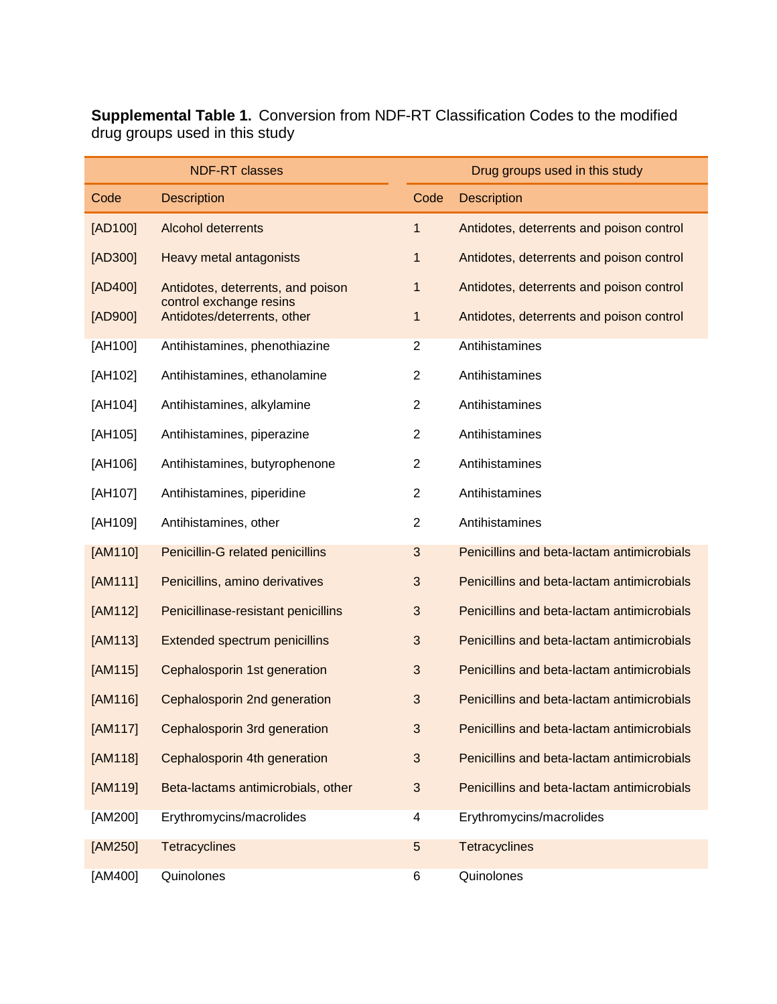**Supplemental Table 1.** Conversion from NDF-RT Classification Codes to the modified drug groups used in this study

|         | <b>NDF-RT classes</b>                                        |                | Drug groups used in this study             |
|---------|--------------------------------------------------------------|----------------|--------------------------------------------|
| Code    | <b>Description</b>                                           | Code           | <b>Description</b>                         |
| [AD100] | <b>Alcohol deterrents</b>                                    | 1              | Antidotes, deterrents and poison control   |
| [AD300] | <b>Heavy metal antagonists</b>                               | 1              | Antidotes, deterrents and poison control   |
| [AD400] | Antidotes, deterrents, and poison<br>control exchange resins | 1              | Antidotes, deterrents and poison control   |
| [AD900] | Antidotes/deterrents, other                                  | 1              | Antidotes, deterrents and poison control   |
| [AH100] | Antihistamines, phenothiazine                                | $\overline{2}$ | Antihistamines                             |
| [AH102] | Antihistamines, ethanolamine                                 | $\overline{2}$ | Antihistamines                             |
| [AH104] | Antihistamines, alkylamine                                   | $\overline{2}$ | Antihistamines                             |
| [AH105] | Antihistamines, piperazine                                   | $\overline{2}$ | Antihistamines                             |
| [AH106] | Antihistamines, butyrophenone                                | $\overline{2}$ | Antihistamines                             |
| [AH107] | Antihistamines, piperidine                                   | $\overline{c}$ | Antihistamines                             |
| [AH109] | Antihistamines, other                                        | $\overline{2}$ | Antihistamines                             |
| [AM110] | Penicillin-G related penicillins                             | $\mathfrak{S}$ | Penicillins and beta-lactam antimicrobials |
| [AM111] | Penicillins, amino derivatives                               | 3              | Penicillins and beta-lactam antimicrobials |
| [AM112] | Penicillinase-resistant penicillins                          | 3              | Penicillins and beta-lactam antimicrobials |
| [AM113] | <b>Extended spectrum penicillins</b>                         | 3              | Penicillins and beta-lactam antimicrobials |
| [AM115] | Cephalosporin 1st generation                                 | 3              | Penicillins and beta-lactam antimicrobials |
| [AM116] | Cephalosporin 2nd generation                                 | 3              | Penicillins and beta-lactam antimicrobials |
| [AM117] | Cephalosporin 3rd generation                                 | 3              | Penicillins and beta-lactam antimicrobials |
| [AM118] | Cephalosporin 4th generation                                 | $\mathfrak{S}$ | Penicillins and beta-lactam antimicrobials |
| [AM119] | Beta-lactams antimicrobials, other                           | $\mathfrak{S}$ | Penicillins and beta-lactam antimicrobials |
| [AM200] | Erythromycins/macrolides                                     | 4              | Erythromycins/macrolides                   |
| [AM250] | <b>Tetracyclines</b>                                         | 5              | <b>Tetracyclines</b>                       |
| [AM400] | Quinolones                                                   | 6              | Quinolones                                 |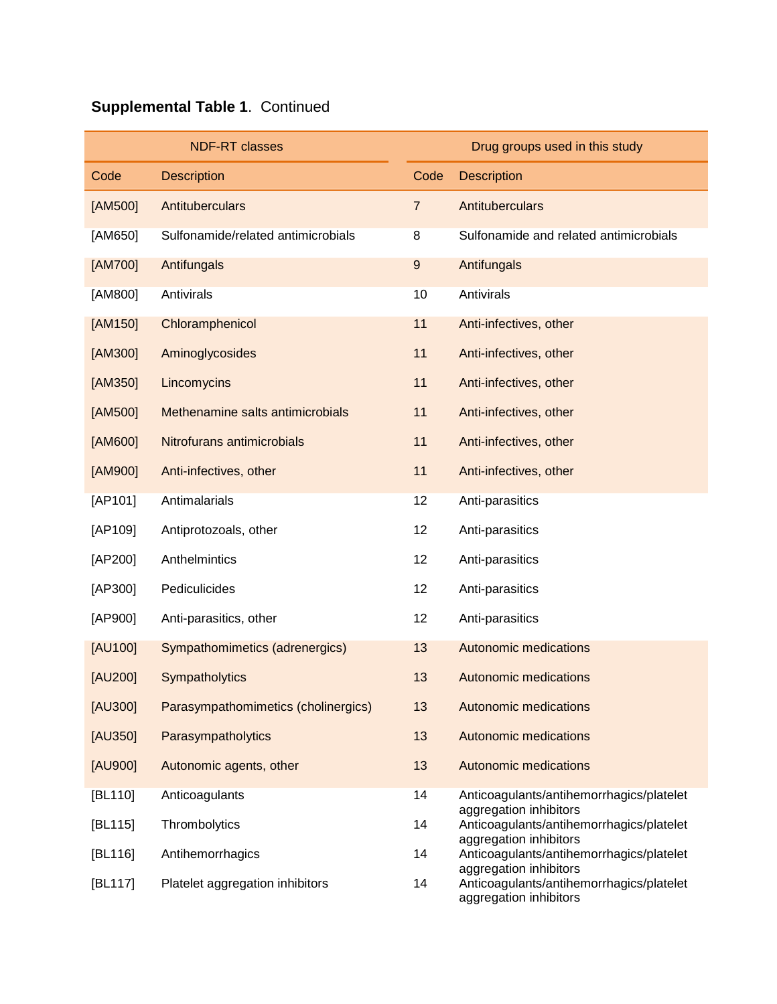|         | <b>NDF-RT classes</b>               |                  | Drug groups used in this study                                     |
|---------|-------------------------------------|------------------|--------------------------------------------------------------------|
| Code    | <b>Description</b>                  | Code             | <b>Description</b>                                                 |
| [AM500] | Antituberculars                     | $\overline{7}$   | Antituberculars                                                    |
| [AM650] | Sulfonamide/related antimicrobials  | 8                | Sulfonamide and related antimicrobials                             |
| [AM700] | Antifungals                         | $\boldsymbol{9}$ | Antifungals                                                        |
| [AM800] | Antivirals                          | 10               | Antivirals                                                         |
| [AM150] | Chloramphenicol                     | 11               | Anti-infectives, other                                             |
| [AM300] | Aminoglycosides                     | 11               | Anti-infectives, other                                             |
| [AM350] | Lincomycins                         | 11               | Anti-infectives, other                                             |
| [AM500] | Methenamine salts antimicrobials    | 11               | Anti-infectives, other                                             |
| [AM600] | Nitrofurans antimicrobials          | 11               | Anti-infectives, other                                             |
| [AM900] | Anti-infectives, other              | 11               | Anti-infectives, other                                             |
| [AP101] | Antimalarials                       | 12               | Anti-parasitics                                                    |
| [AP109] | Antiprotozoals, other               | 12               | Anti-parasitics                                                    |
| [AP200] | Anthelmintics                       | 12               | Anti-parasitics                                                    |
| [AP300] | Pediculicides                       | 12               | Anti-parasitics                                                    |
| [AP900] | Anti-parasitics, other              | 12               | Anti-parasitics                                                    |
| [AU100] | Sympathomimetics (adrenergics)      | 13               | <b>Autonomic medications</b>                                       |
| [AU200] | Sympatholytics                      | 13               | <b>Autonomic medications</b>                                       |
| [AU300] | Parasympathomimetics (cholinergics) | 13               | Autonomic medications                                              |
| [AU350] | Parasympatholytics                  | 13               | <b>Autonomic medications</b>                                       |
| [AU900] | Autonomic agents, other             | 13               | <b>Autonomic medications</b>                                       |
| [BL110] | Anticoagulants                      | 14               | Anticoagulants/antihemorrhagics/platelet<br>aggregation inhibitors |
| [BL115] | Thrombolytics                       | 14               | Anticoagulants/antihemorrhagics/platelet<br>aggregation inhibitors |
| [BL116] | Antihemorrhagics                    | 14               | Anticoagulants/antihemorrhagics/platelet<br>aggregation inhibitors |
| [BL117] | Platelet aggregation inhibitors     | 14               | Anticoagulants/antihemorrhagics/platelet<br>aggregation inhibitors |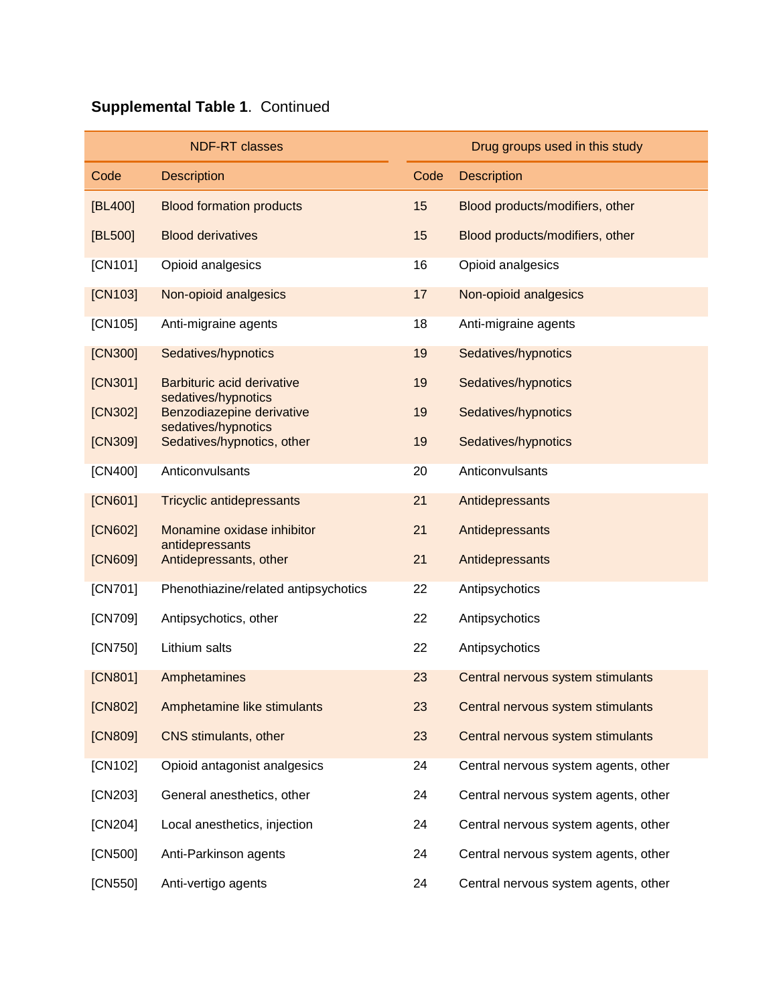|         | <b>NDF-RT classes</b>                             |      | Drug groups used in this study       |
|---------|---------------------------------------------------|------|--------------------------------------|
| Code    | <b>Description</b>                                | Code | <b>Description</b>                   |
| [BL400] | <b>Blood formation products</b>                   | 15   | Blood products/modifiers, other      |
| [BL500] | <b>Blood derivatives</b>                          | 15   | Blood products/modifiers, other      |
| [CN101] | Opioid analgesics                                 | 16   | Opioid analgesics                    |
| [CN103] | Non-opioid analgesics                             | 17   | Non-opioid analgesics                |
| [CN105] | Anti-migraine agents                              | 18   | Anti-migraine agents                 |
| [CN300] | Sedatives/hypnotics                               | 19   | Sedatives/hypnotics                  |
| [CN301] | Barbituric acid derivative<br>sedatives/hypnotics | 19   | Sedatives/hypnotics                  |
| [CN302] | Benzodiazepine derivative<br>sedatives/hypnotics  | 19   | Sedatives/hypnotics                  |
| [CN309] | Sedatives/hypnotics, other                        | 19   | Sedatives/hypnotics                  |
| [CN400] | Anticonvulsants                                   | 20   | Anticonvulsants                      |
| [CN601] | <b>Tricyclic antidepressants</b>                  | 21   | Antidepressants                      |
| [CN602] | Monamine oxidase inhibitor                        | 21   | Antidepressants                      |
| [CN609] | antidepressants<br>Antidepressants, other         | 21   | Antidepressants                      |
| [CN701] | Phenothiazine/related antipsychotics              | 22   | Antipsychotics                       |
| [CN709] | Antipsychotics, other                             | 22   | Antipsychotics                       |
| [CN750] | Lithium salts                                     | 22   | Antipsychotics                       |
| [CN801] | Amphetamines                                      | 23   | Central nervous system stimulants    |
| [CN802] | Amphetamine like stimulants                       | 23   | Central nervous system stimulants    |
| [CN809] | CNS stimulants, other                             | 23   | Central nervous system stimulants    |
| [CN102] | Opioid antagonist analgesics                      | 24   | Central nervous system agents, other |
| [CN203] | General anesthetics, other                        | 24   | Central nervous system agents, other |
| [CN204] | Local anesthetics, injection                      | 24   | Central nervous system agents, other |
| [CN500] | Anti-Parkinson agents                             | 24   | Central nervous system agents, other |
| [CN550] | Anti-vertigo agents                               | 24   | Central nervous system agents, other |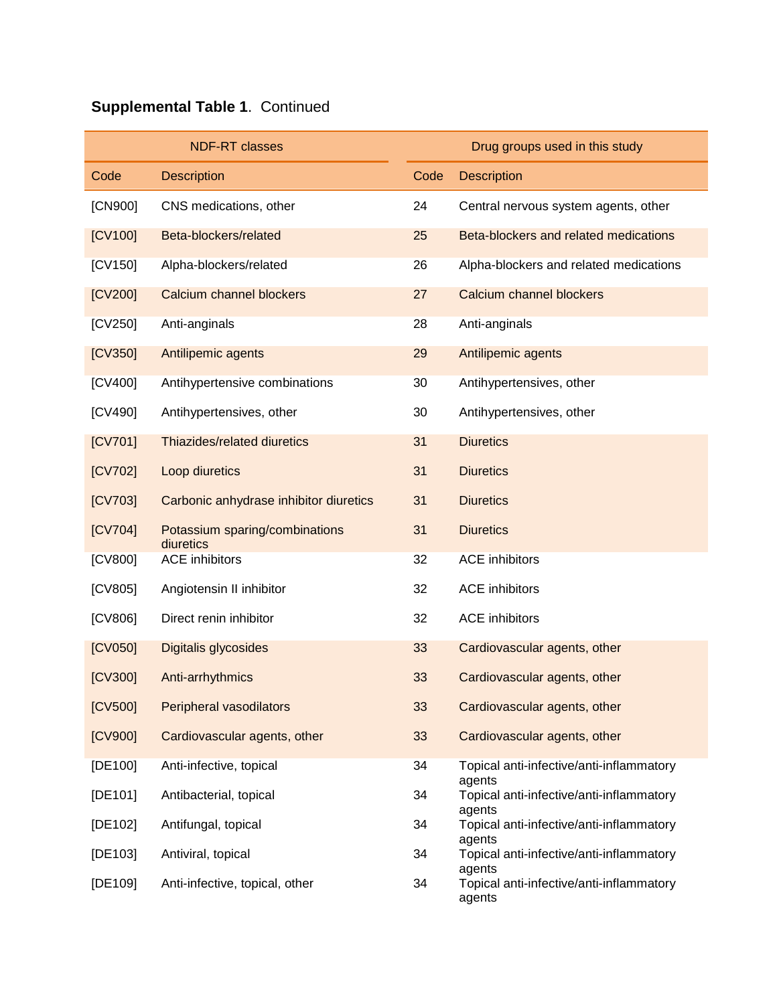|         | <b>NDF-RT classes</b>                       |      | Drug groups used in this study                               |
|---------|---------------------------------------------|------|--------------------------------------------------------------|
| Code    | <b>Description</b>                          | Code | <b>Description</b>                                           |
| [CN900] | CNS medications, other                      | 24   | Central nervous system agents, other                         |
| [CV100] | Beta-blockers/related                       | 25   | Beta-blockers and related medications                        |
| [CV150] | Alpha-blockers/related                      | 26   | Alpha-blockers and related medications                       |
| [CV200] | Calcium channel blockers                    | 27   | Calcium channel blockers                                     |
| [CV250] | Anti-anginals                               | 28   | Anti-anginals                                                |
| [CV350] | Antilipemic agents                          | 29   | Antilipemic agents                                           |
| [CV400] | Antihypertensive combinations               | 30   | Antihypertensives, other                                     |
| [CV490] | Antihypertensives, other                    | 30   | Antihypertensives, other                                     |
| [CV701] | Thiazides/related diuretics                 | 31   | <b>Diuretics</b>                                             |
| [CV702] | Loop diuretics                              | 31   | <b>Diuretics</b>                                             |
| [CV703] | Carbonic anhydrase inhibitor diuretics      | 31   | <b>Diuretics</b>                                             |
| [CV704] | Potassium sparing/combinations<br>diuretics | 31   | <b>Diuretics</b>                                             |
| [CV800] | <b>ACE</b> inhibitors                       | 32   | <b>ACE</b> inhibitors                                        |
| [CV805] | Angiotensin II inhibitor                    | 32   | <b>ACE</b> inhibitors                                        |
| [CV806] | Direct renin inhibitor                      | 32   | <b>ACE</b> inhibitors                                        |
| [CV050] | Digitalis glycosides                        | 33   | Cardiovascular agents, other                                 |
| [CV300] | Anti-arrhythmics                            | 33   | Cardiovascular agents, other                                 |
| [CV500] | Peripheral vasodilators                     | 33   | Cardiovascular agents, other                                 |
| [CV900] | Cardiovascular agents, other                | 33   | Cardiovascular agents, other                                 |
| [DE100] | Anti-infective, topical                     | 34   | Topical anti-infective/anti-inflammatory<br>agents           |
| [DE101] | Antibacterial, topical                      | 34   | Topical anti-infective/anti-inflammatory<br>agents           |
| [DE102] | Antifungal, topical                         | 34   | Topical anti-infective/anti-inflammatory                     |
| [DE103] | Antiviral, topical                          | 34   | agents<br>Topical anti-infective/anti-inflammatory           |
| [DE109] | Anti-infective, topical, other              | 34   | agents<br>Topical anti-infective/anti-inflammatory<br>agents |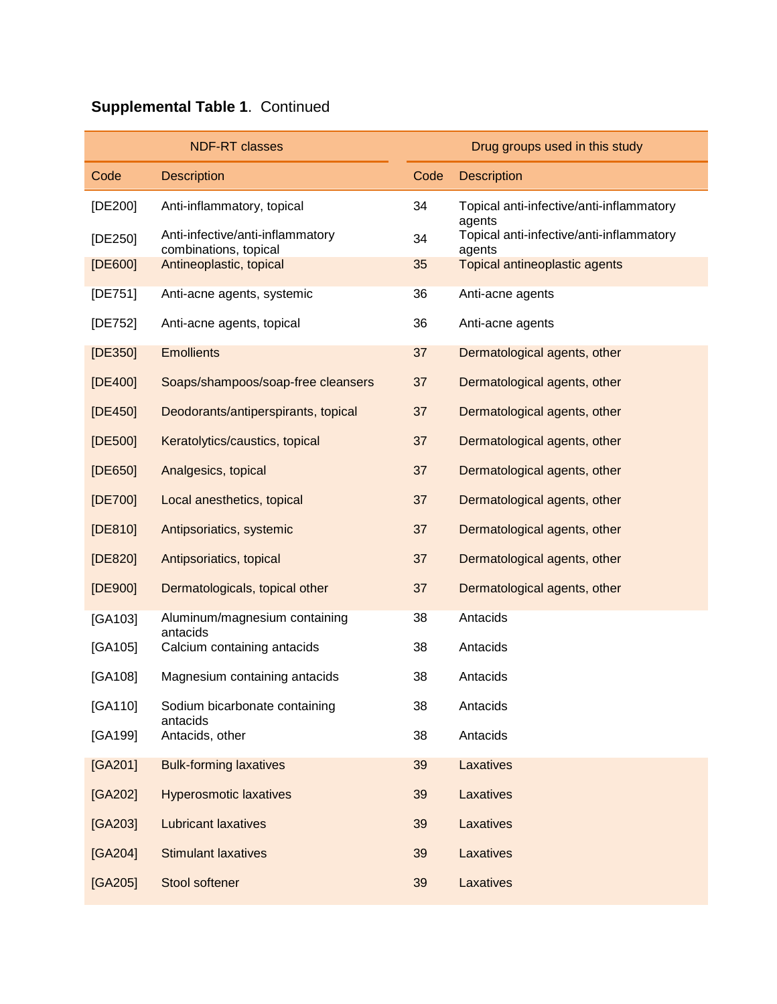|             | <b>NDF-RT classes</b>                                     |      | Drug groups used in this study                               |
|-------------|-----------------------------------------------------------|------|--------------------------------------------------------------|
| Code        | <b>Description</b>                                        | Code | <b>Description</b>                                           |
| [DE200]     | Anti-inflammatory, topical                                | 34   | Topical anti-infective/anti-inflammatory                     |
| [DE250]     | Anti-infective/anti-inflammatory<br>combinations, topical | 34   | agents<br>Topical anti-infective/anti-inflammatory<br>agents |
| [DE600]     | Antineoplastic, topical                                   | 35   | Topical antineoplastic agents                                |
| [ $DE751$ ] | Anti-acne agents, systemic                                | 36   | Anti-acne agents                                             |
| [DE752]     | Anti-acne agents, topical                                 | 36   | Anti-acne agents                                             |
| [DE350]     | <b>Emollients</b>                                         | 37   | Dermatological agents, other                                 |
| [DE400]     | Soaps/shampoos/soap-free cleansers                        | 37   | Dermatological agents, other                                 |
| [DE450]     | Deodorants/antiperspirants, topical                       | 37   | Dermatological agents, other                                 |
| [DE500]     | Keratolytics/caustics, topical                            | 37   | Dermatological agents, other                                 |
| [DE650]     | Analgesics, topical                                       | 37   | Dermatological agents, other                                 |
| [DE700]     | Local anesthetics, topical                                | 37   | Dermatological agents, other                                 |
| [DE810]     | Antipsoriatics, systemic                                  | 37   | Dermatological agents, other                                 |
| [DE820]     | Antipsoriatics, topical                                   | 37   | Dermatological agents, other                                 |
| [DE900]     | Dermatologicals, topical other                            | 37   | Dermatological agents, other                                 |
| [GA103]     | Aluminum/magnesium containing<br>antacids                 | 38   | Antacids                                                     |
| [GA105]     | Calcium containing antacids                               | 38   | Antacids                                                     |
| [GA108]     | Magnesium containing antacids                             | 38   | Antacids                                                     |
| [GA110]     | Sodium bicarbonate containing<br>antacids                 | 38   | Antacids                                                     |
| [GA199]     | Antacids, other                                           | 38   | Antacids                                                     |
| [GA201]     | <b>Bulk-forming laxatives</b>                             | 39   | Laxatives                                                    |
| [GA202]     | <b>Hyperosmotic laxatives</b>                             | 39   | Laxatives                                                    |
| [GA203]     | <b>Lubricant laxatives</b>                                | 39   | Laxatives                                                    |
| [GA204]     | <b>Stimulant laxatives</b>                                | 39   | Laxatives                                                    |
| $[GA205]$   | Stool softener                                            | 39   | Laxatives                                                    |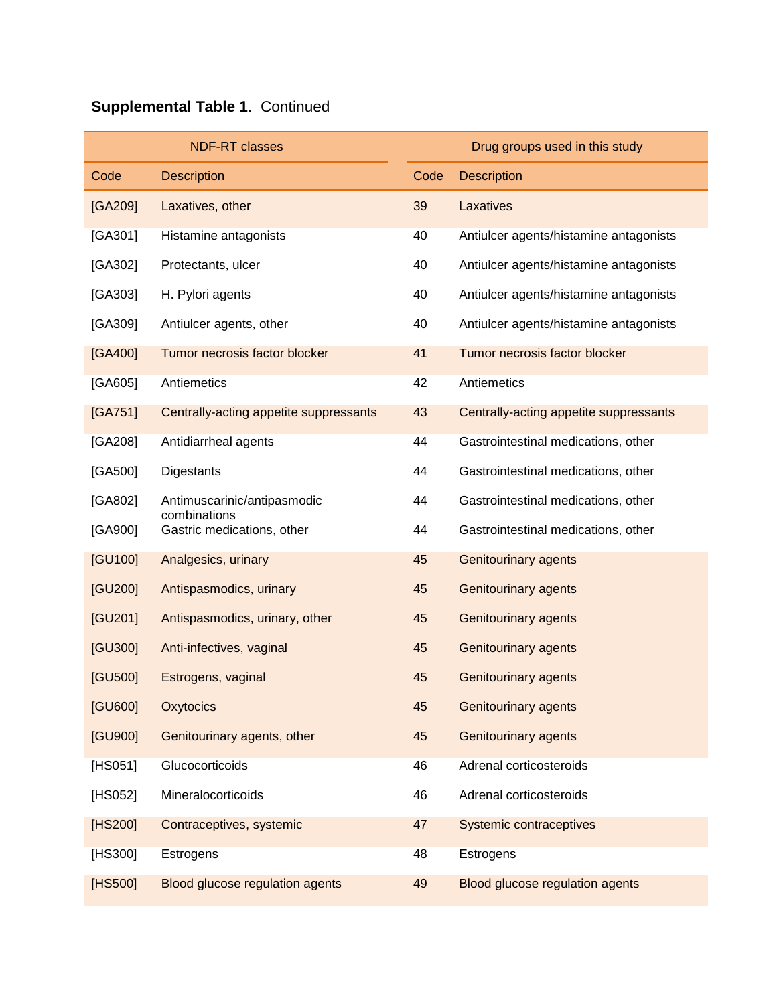|         | <b>NDF-RT classes</b>                       |      | Drug groups used in this study         |
|---------|---------------------------------------------|------|----------------------------------------|
| Code    | <b>Description</b>                          | Code | <b>Description</b>                     |
| [GA209] | Laxatives, other                            | 39   | Laxatives                              |
| [GA301] | Histamine antagonists                       | 40   | Antiulcer agents/histamine antagonists |
| [GA302] | Protectants, ulcer                          | 40   | Antiulcer agents/histamine antagonists |
| [GA303] | H. Pylori agents                            | 40   | Antiulcer agents/histamine antagonists |
| [GA309] | Antiulcer agents, other                     | 40   | Antiulcer agents/histamine antagonists |
| [GA400] | Tumor necrosis factor blocker               | 41   | Tumor necrosis factor blocker          |
| [GA605] | Antiemetics                                 | 42   | Antiemetics                            |
| [GA751] | Centrally-acting appetite suppressants      | 43   | Centrally-acting appetite suppressants |
| [GA208] | Antidiarrheal agents                        | 44   | Gastrointestinal medications, other    |
| [GA500] | <b>Digestants</b>                           | 44   | Gastrointestinal medications, other    |
| [GA802] | Antimuscarinic/antipasmodic<br>combinations | 44   | Gastrointestinal medications, other    |
| [GA900] | Gastric medications, other                  | 44   | Gastrointestinal medications, other    |
| [GU100] | Analgesics, urinary                         | 45   | <b>Genitourinary agents</b>            |
| [GU200] | Antispasmodics, urinary                     | 45   | <b>Genitourinary agents</b>            |
| [GU201] | Antispasmodics, urinary, other              | 45   | <b>Genitourinary agents</b>            |
| [GU300] | Anti-infectives, vaginal                    | 45   | <b>Genitourinary agents</b>            |
| [GU500] | Estrogens, vaginal                          | 45   | <b>Genitourinary agents</b>            |
| [GU600] | Oxytocics                                   | 45   | <b>Genitourinary agents</b>            |
| [GU900] | Genitourinary agents, other                 | 45   | <b>Genitourinary agents</b>            |
| [HS051] | Glucocorticoids                             | 46   | Adrenal corticosteroids                |
| [HS052] | Mineralocorticoids                          | 46   | Adrenal corticosteroids                |
| [HS200] | Contraceptives, systemic                    | 47   | <b>Systemic contraceptives</b>         |
| [HS300] | Estrogens                                   | 48   | Estrogens                              |
| [HS500] | Blood glucose regulation agents             | 49   | <b>Blood glucose regulation agents</b> |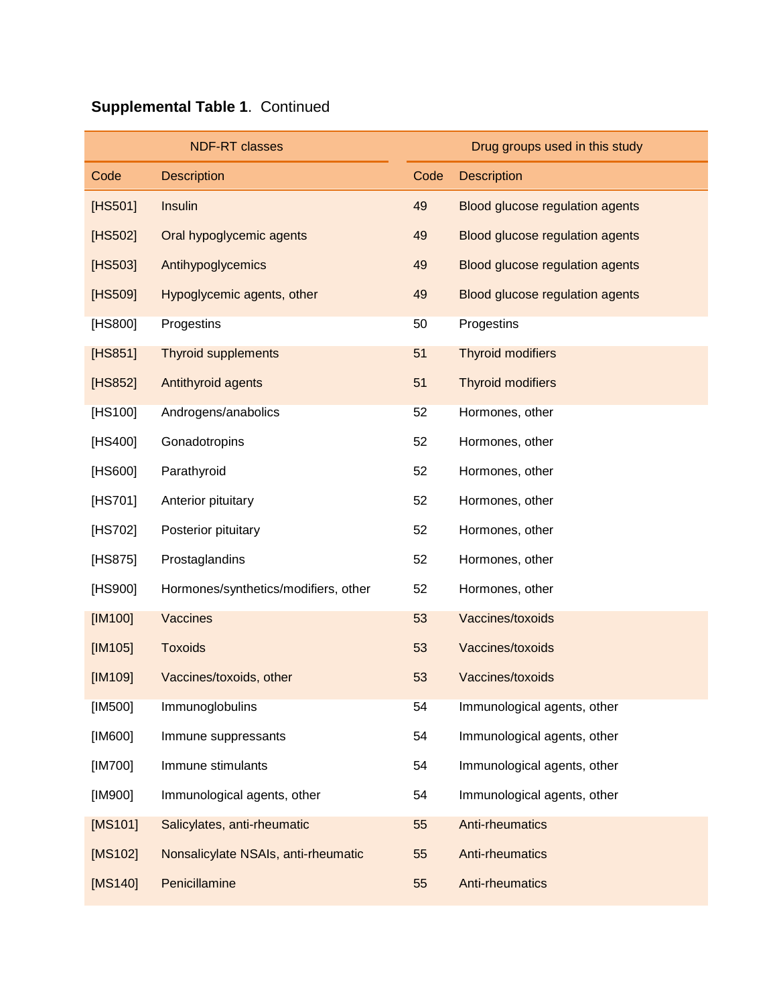|           | <b>NDF-RT classes</b>                |      | Drug groups used in this study  |
|-----------|--------------------------------------|------|---------------------------------|
| Code      | <b>Description</b>                   | Code | <b>Description</b>              |
| [HS501]   | Insulin                              | 49   | Blood glucose regulation agents |
| [HS502]   | Oral hypoglycemic agents             | 49   | Blood glucose regulation agents |
| [HS503]   | Antihypoglycemics                    | 49   | Blood glucose regulation agents |
| [HS509]   | Hypoglycemic agents, other           | 49   | Blood glucose regulation agents |
| [HS800]   | Progestins                           | 50   | Progestins                      |
| [HS851]   | <b>Thyroid supplements</b>           | 51   | <b>Thyroid modifiers</b>        |
| [HS852]   | Antithyroid agents                   | 51   | <b>Thyroid modifiers</b>        |
| [HS100]   | Androgens/anabolics                  | 52   | Hormones, other                 |
| [HS400]   | Gonadotropins                        | 52   | Hormones, other                 |
| [HS600]   | Parathyroid                          | 52   | Hormones, other                 |
| [HS701]   | Anterior pituitary                   | 52   | Hormones, other                 |
| [HS702]   | Posterior pituitary                  | 52   | Hormones, other                 |
| [HS875]   | Prostaglandins                       | 52   | Hormones, other                 |
| [HS900]   | Hormones/synthetics/modifiers, other | 52   | Hormones, other                 |
| [IM100]   | Vaccines                             | 53   | Vaccines/toxoids                |
| $[IM105]$ | <b>Toxoids</b>                       | 53   | Vaccines/toxoids                |
| [IM109]   | Vaccines/toxoids, other              | 53   | Vaccines/toxoids                |
| [IM500]   | Immunoglobulins                      | 54   | Immunological agents, other     |
| [IM600]   | Immune suppressants                  | 54   | Immunological agents, other     |
| [IM700]   | Immune stimulants                    | 54   | Immunological agents, other     |
| [IM900]   | Immunological agents, other          | 54   | Immunological agents, other     |
| [MS101]   | Salicylates, anti-rheumatic          | 55   | Anti-rheumatics                 |
| [MS102]   | Nonsalicylate NSAIs, anti-rheumatic  | 55   | Anti-rheumatics                 |
| [MS140]   | Penicillamine                        | 55   | Anti-rheumatics                 |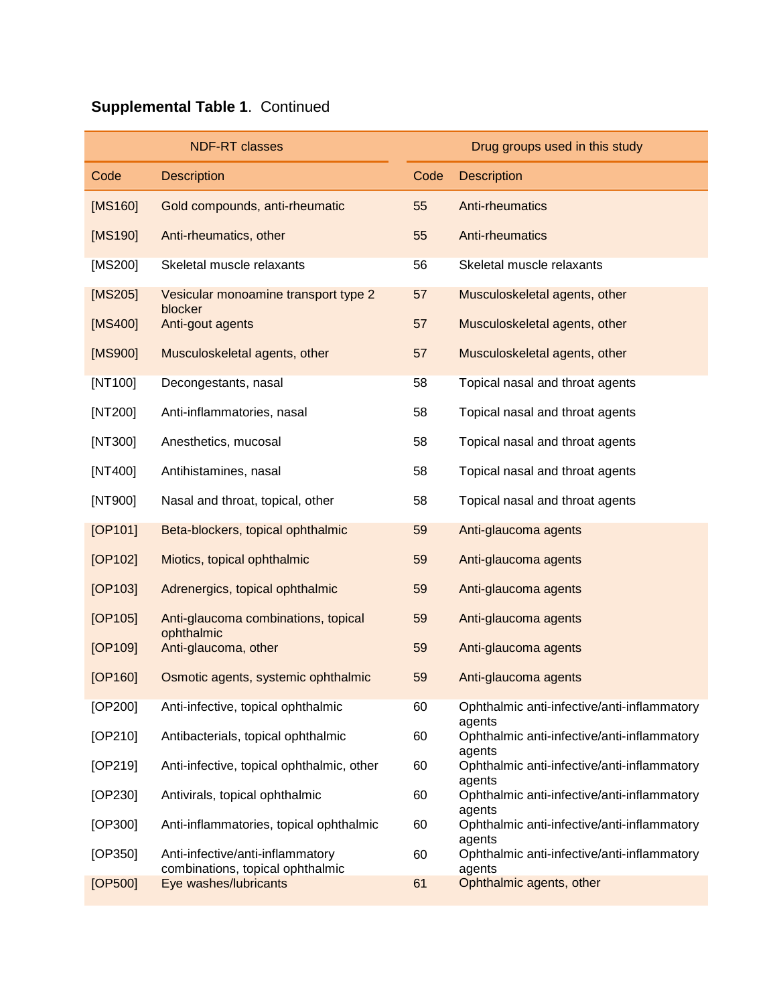|         | <b>NDF-RT classes</b>                                     |      | Drug groups used in this study                        |
|---------|-----------------------------------------------------------|------|-------------------------------------------------------|
| Code    | <b>Description</b>                                        | Code | <b>Description</b>                                    |
| [MS160] | Gold compounds, anti-rheumatic                            | 55   | <b>Anti-rheumatics</b>                                |
| [MS190] | Anti-rheumatics, other                                    | 55   | Anti-rheumatics                                       |
| [MS200] | Skeletal muscle relaxants                                 | 56   | Skeletal muscle relaxants                             |
| [MS205] | Vesicular monoamine transport type 2<br>blocker           | 57   | Musculoskeletal agents, other                         |
| [MS400] | Anti-gout agents                                          | 57   | Musculoskeletal agents, other                         |
| [MS900] | Musculoskeletal agents, other                             | 57   | Musculoskeletal agents, other                         |
| [NT100] | Decongestants, nasal                                      | 58   | Topical nasal and throat agents                       |
| [NT200] | Anti-inflammatories, nasal                                | 58   | Topical nasal and throat agents                       |
| [NT300] | Anesthetics, mucosal                                      | 58   | Topical nasal and throat agents                       |
| [NT400] | Antihistamines, nasal                                     | 58   | Topical nasal and throat agents                       |
| [NT900] | Nasal and throat, topical, other                          | 58   | Topical nasal and throat agents                       |
| [OP101] | Beta-blockers, topical ophthalmic                         | 59   | Anti-glaucoma agents                                  |
| [OP102] | Miotics, topical ophthalmic                               | 59   | Anti-glaucoma agents                                  |
| [OP103] | Adrenergics, topical ophthalmic                           | 59   | Anti-glaucoma agents                                  |
| [OP105] | Anti-glaucoma combinations, topical                       | 59   | Anti-glaucoma agents                                  |
| [OP109] | ophthalmic<br>Anti-glaucoma, other                        | 59   | Anti-glaucoma agents                                  |
| [OP160] | Osmotic agents, systemic ophthalmic                       | 59   | Anti-glaucoma agents                                  |
| [OP200] | Anti-infective, topical ophthalmic                        | 60   | Ophthalmic anti-infective/anti-inflammatory<br>agents |
| [OP210] | Antibacterials, topical ophthalmic                        | 60   | Ophthalmic anti-infective/anti-inflammatory           |
| [OP219] | Anti-infective, topical ophthalmic, other                 | 60   | agents<br>Ophthalmic anti-infective/anti-inflammatory |
| [OP230] | Antivirals, topical ophthalmic                            | 60   | agents<br>Ophthalmic anti-infective/anti-inflammatory |
| [OP300] | Anti-inflammatories, topical ophthalmic                   | 60   | agents<br>Ophthalmic anti-infective/anti-inflammatory |
| [OP350] | Anti-infective/anti-inflammatory                          | 60   | agents<br>Ophthalmic anti-infective/anti-inflammatory |
| [OP500] | combinations, topical ophthalmic<br>Eye washes/lubricants | 61   | agents<br>Ophthalmic agents, other                    |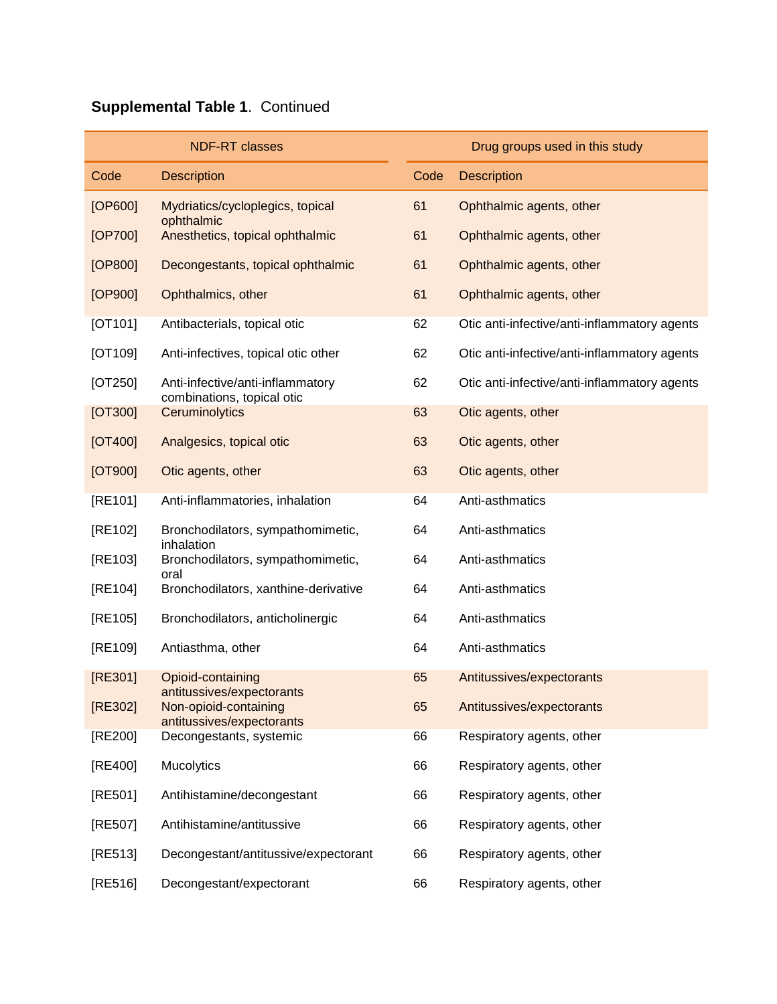|                      | <b>NDF-RT classes</b>                                          |      | Drug groups used in this study               |
|----------------------|----------------------------------------------------------------|------|----------------------------------------------|
| Code                 | <b>Description</b>                                             | Code | <b>Description</b>                           |
| [OP600]              | Mydriatics/cycloplegics, topical                               | 61   | Ophthalmic agents, other                     |
| [OP700]              | ophthalmic<br>Anesthetics, topical ophthalmic                  | 61   | Ophthalmic agents, other                     |
| [OP800]              | Decongestants, topical ophthalmic                              | 61   | Ophthalmic agents, other                     |
| [OP900]              | Ophthalmics, other                                             | 61   | Ophthalmic agents, other                     |
| [OT101]              | Antibacterials, topical otic                                   | 62   | Otic anti-infective/anti-inflammatory agents |
| [OT109]              | Anti-infectives, topical otic other                            | 62   | Otic anti-infective/anti-inflammatory agents |
| [OT250]              | Anti-infective/anti-inflammatory<br>combinations, topical otic | 62   | Otic anti-infective/anti-inflammatory agents |
| [OT300]              | Ceruminolytics                                                 | 63   | Otic agents, other                           |
| [O <sub>T</sub> 400] | Analgesics, topical otic                                       | 63   | Otic agents, other                           |
| [O T 900]            | Otic agents, other                                             | 63   | Otic agents, other                           |
| [RE101]              | Anti-inflammatories, inhalation                                | 64   | Anti-asthmatics                              |
| [RE102]              | Bronchodilators, sympathomimetic,<br>inhalation                | 64   | Anti-asthmatics                              |
| [RE103]              | Bronchodilators, sympathomimetic,<br>oral                      | 64   | Anti-asthmatics                              |
| [RE104]              | Bronchodilators, xanthine-derivative                           | 64   | Anti-asthmatics                              |
| [RE105]              | Bronchodilators, anticholinergic                               | 64   | Anti-asthmatics                              |
| [RE109]              | Antiasthma, other                                              | 64   | Anti-asthmatics                              |
| [RE301]              | Opioid-containing<br>antitussives/expectorants                 | 65   | Antitussives/expectorants                    |
| [RE302]              | Non-opioid-containing<br>antitussives/expectorants             | 65   | Antitussives/expectorants                    |
| [RE200]              | Decongestants, systemic                                        | 66   | Respiratory agents, other                    |
| [RE400]              | Mucolytics                                                     | 66   | Respiratory agents, other                    |
| [RE501]              | Antihistamine/decongestant                                     | 66   | Respiratory agents, other                    |
| [RE507]              | Antihistamine/antitussive                                      | 66   | Respiratory agents, other                    |
| [RE513]              | Decongestant/antitussive/expectorant                           | 66   | Respiratory agents, other                    |
| [RE516]              | Decongestant/expectorant                                       | 66   | Respiratory agents, other                    |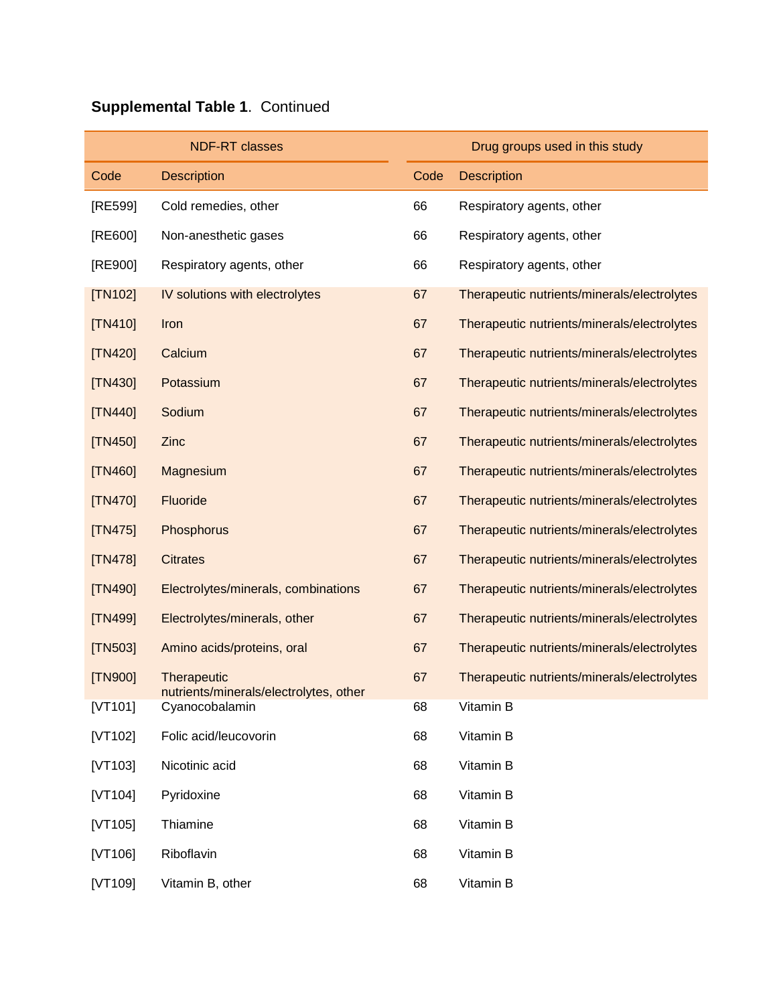|                | <b>NDF-RT classes</b>                                 |      | Drug groups used in this study              |
|----------------|-------------------------------------------------------|------|---------------------------------------------|
| Code           | <b>Description</b>                                    | Code | <b>Description</b>                          |
| [RE599]        | Cold remedies, other                                  | 66   | Respiratory agents, other                   |
| [RE600]        | Non-anesthetic gases                                  | 66   | Respiratory agents, other                   |
| [RE900]        | Respiratory agents, other                             | 66   | Respiratory agents, other                   |
| <b>[TN102]</b> | IV solutions with electrolytes                        | 67   | Therapeutic nutrients/minerals/electrolytes |
| $[TN410]$      | Iron                                                  | 67   | Therapeutic nutrients/minerals/electrolytes |
| [TN420]        | Calcium                                               | 67   | Therapeutic nutrients/minerals/electrolytes |
| [TN430]        | Potassium                                             | 67   | Therapeutic nutrients/minerals/electrolytes |
| [TN440]        | Sodium                                                | 67   | Therapeutic nutrients/minerals/electrolytes |
| [TN450]        | Zinc                                                  | 67   | Therapeutic nutrients/minerals/electrolytes |
| [TN460]        | Magnesium                                             | 67   | Therapeutic nutrients/minerals/electrolytes |
| $[TN470]$      | Fluoride                                              | 67   | Therapeutic nutrients/minerals/electrolytes |
| [TN475]        | Phosphorus                                            | 67   | Therapeutic nutrients/minerals/electrolytes |
| [TN478]        | <b>Citrates</b>                                       | 67   | Therapeutic nutrients/minerals/electrolytes |
| [TN490]        | Electrolytes/minerals, combinations                   | 67   | Therapeutic nutrients/minerals/electrolytes |
| [TN499]        | Electrolytes/minerals, other                          | 67   | Therapeutic nutrients/minerals/electrolytes |
| [TN503]        | Amino acids/proteins, oral                            | 67   | Therapeutic nutrients/minerals/electrolytes |
| [TN900]        | Therapeutic<br>nutrients/minerals/electrolytes, other | 67   | Therapeutic nutrients/minerals/electrolytes |
| $[VT101]$      | Cyanocobalamin                                        | 68   | Vitamin B                                   |
| [ $VT102$ ]    | Folic acid/leucovorin                                 | 68   | Vitamin B                                   |
| [VT103]        | Nicotinic acid                                        | 68   | Vitamin B                                   |
| [VT104]        | Pyridoxine                                            | 68   | Vitamin B                                   |
| [VT105]        | Thiamine                                              | 68   | Vitamin B                                   |
| [VT106]        | Riboflavin                                            | 68   | Vitamin B                                   |
| [VT109]        | Vitamin B, other                                      | 68   | Vitamin B                                   |